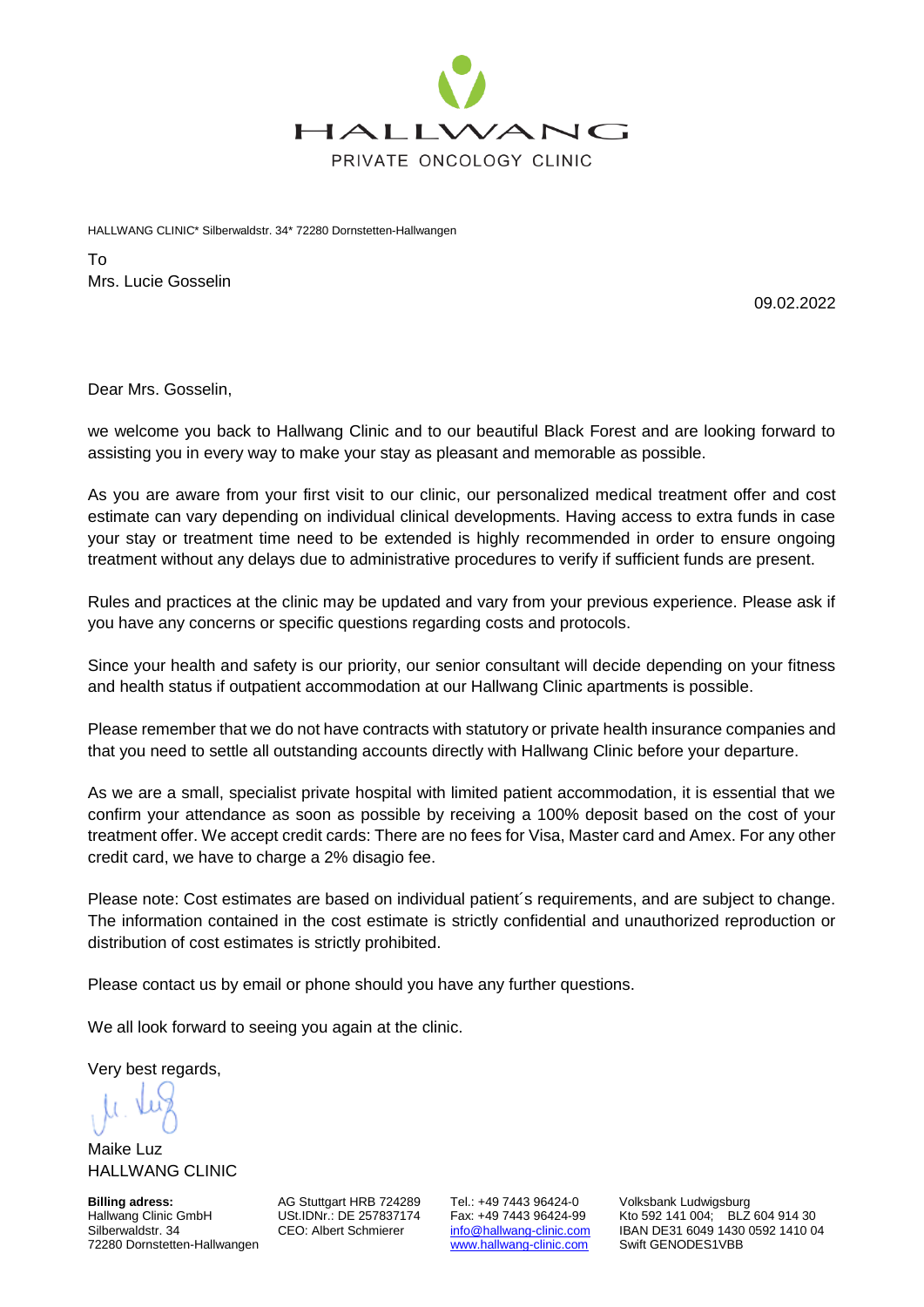

HALLWANG CLINIC\* Silberwaldstr. 34\* 72280 Dornstetten-Hallwangen

To Mrs. Lucie Gosselin

09.02.2022

Dear Mrs. Gosselin,

we welcome you back to Hallwang Clinic and to our beautiful Black Forest and are looking forward to assisting you in every way to make your stay as pleasant and memorable as possible.

As you are aware from your first visit to our clinic, our personalized medical treatment offer and cost estimate can vary depending on individual clinical developments. Having access to extra funds in case your stay or treatment time need to be extended is highly recommended in order to ensure ongoing treatment without any delays due to administrative procedures to verify if sufficient funds are present.

Rules and practices at the clinic may be updated and vary from your previous experience. Please ask if you have any concerns or specific questions regarding costs and protocols.

Since your health and safety is our priority, our senior consultant will decide depending on your fitness and health status if outpatient accommodation at our Hallwang Clinic apartments is possible.

Please remember that we do not have contracts with statutory or private health insurance companies and that you need to settle all outstanding accounts directly with Hallwang Clinic before your departure.

As we are a small, specialist private hospital with limited patient accommodation, it is essential that we confirm your attendance as soon as possible by receiving a 100% deposit based on the cost of your treatment offer. We accept credit cards: There are no fees for Visa, Master card and Amex. For any other credit card, we have to charge a 2% disagio fee.

Please note: Cost estimates are based on individual patient´s requirements, and are subject to change. The information contained in the cost estimate is strictly confidential and unauthorized reproduction or distribution of cost estimates is strictly prohibited.

Please contact us by email or phone should you have any further questions.

We all look forward to seeing you again at the clinic.

Very best regards,

Maike Luz HALLWANG CLINIC

**Billing adress:** AG Stuttgart HRB 724289 Tel.: +49 7443 96424-0 Volksbank Ludwigsburg<br>Hallwang Clinic GmbH USt.IDNr.: DE 257837174 Fax: +49 7443 96424-99 Kto 592 141 004; BLZ 72280 Dornstetten-Hallwangen

Hallwang Clinic GmbH USt.IDNr.: DE 257837174 Fax: +49 7443 96424-99 Kto 592 141 004; BLZ 604 914 30<br>Silberwaldstr. 34 CEO: Albert Schmierer info@hallwang-clinic.com IBAN DE31 6049 1430 0592 1410 0 [info@hallwang-clinic.com](mailto:info@hallwang-clinic.com) IBAN DE31 6049 1430 0592 1410 04<br>www.hallwang-clinic.com Swift GENODES1VBB